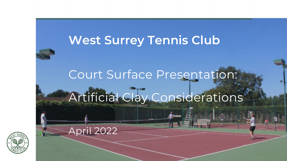## **West Surrey Tennis Club**

## Court Surface Presentation:

# Artificial Clay Considerations

April 2022

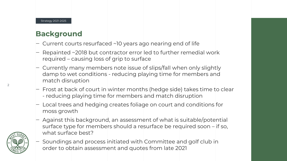#### **Background**

- $\sim$  Current courts resurfaced  $\sim$  10 years ago nearing end of life
- $-$  Repainted ~2018 but contractor error led to further remedial work required – causing loss of grip to surface
- ‒ Currently many members note issue of slips/fall when only slightly damp to wet conditions - reducing playing time for members and match disruption
- $-$  Frost at back of court in winter months (hedge side) takes time to clear - reducing playing time for members and match disruption
- ‒ Local trees and hedging creates foliage on court and conditions for moss growth
- $-$  Against this background, an assessment of what is suitable/potential surface type for members should a resurface be required soon - if so, what surface best?



Soundings and process initiated with Committee and golf club in order to obtain assessment and quotes from late 2021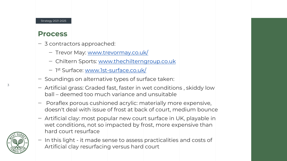#### Strategy 2021-2025

#### **Process**

- ‒ 3 contractors approached:
	- Trevor May: [www.trevormay.co.uk/](http://www.trevormay.co.uk/)
	- ‒ Chiltern Sports: [www.thechilterngroup.co.uk](http://www.thechilterngroup.co.uk/)
	- 1<sup>st</sup> Surface: <u>www.1st-surface.co.uk/</u>
- ‒ Soundings on alternative types of surface taken:
- ‒ Artificial grass: Graded fast, faster in wet conditions , skiddy low ball – deemed too much variance and unsuitable
- ‒ Poraflex porous cushioned acrylic: materially more expensive, doesn't deal with issue of frost at back of court, medium bounce
- ‒ Artificial clay: most popular new court surface in UK, playable in wet conditions, not so impacted by frost, more expensive than hard court resurface



‒ In this light - it made sense to assess practicalities and costs of Artificial clay resurfacing versus hard court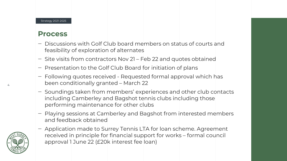#### **Process**

- ‒ Discussions with Golf Club board members on status of courts and feasibility of exploration of alternates
- Site visits from contractors Nov 21 Feb 22 and quotes obtained
- Presentation to the Golf Club Board for initiation of plans
- ‒ Following quotes received Requested formal approval which has been conditionally granted – March 22
- Soundings taken from members' experiences and other club contacts including Camberley and Bagshot tennis clubs including those performing maintenance for other clubs
- ‒ Playing sessions at Camberley and Bagshot from interested members and feedback obtained
- Application made to Surrey Tennis LTA for loan scheme. Agreement received in principle for financial support for works – formal council approval 1 June 22 (£20k interest fee loan)



4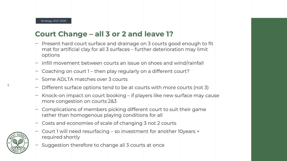#### **Court Change – all 3 or 2 and leave 1?**

- $\vdash$  Present hard court surface and drainage on 3 courts good enough to fit mat for artificial clay for all 3 surfaces – further deterioration may limit options
- $-$  Infill movement between courts an issue on shoes and wind/rainfall
- $\vdash$  Coaching on court 1 then play regularly on a different court?
- $-$  Some ADLTA matches over 3 courts
- Different surface options tend to be at courts with more courts (not 3)
- Knock-on impact on court booking if players like new surface may cause more congestion on courts 2&3
- ‒ Complications of members picking different court to suit their game rather than homogenous playing conditions for all
- $-$  Costs and economies of scale of changing 3 not 2 courts
- ‒ Court 1 will need resurfacing so investment for another 10years + required shortly
- ‒ Suggestion therefore to change all 3 courts at once



5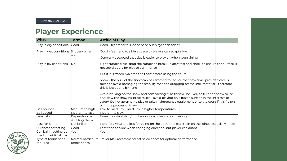#### **Player Experience**

| <b>What</b>                                    | <b>Tarmac</b>                     | <b>Artificial Clay</b>                                                                                                                                                                                                                                                                  |  |
|------------------------------------------------|-----------------------------------|-----------------------------------------------------------------------------------------------------------------------------------------------------------------------------------------------------------------------------------------------------------------------------------------|--|
| Play in dry conditions   Good                  |                                   | Good - feet tend to slide at pace but player can adapt                                                                                                                                                                                                                                  |  |
| Play in wet conditions Slippery when           | wet                               | Good - feet tend to slide at pace by players can adapt slide                                                                                                                                                                                                                            |  |
|                                                |                                   | Generally accepted that clay is easier to play on when wet/raining                                                                                                                                                                                                                      |  |
| Play in icy conditions                         | No                                | Light surface frost-drag the surface to break up any frost and check to ensure the surface is<br>not too slippery for play to commence                                                                                                                                                  |  |
|                                                |                                   | But if it is frozen, wait for it to thaw before using the court                                                                                                                                                                                                                         |  |
|                                                |                                   | Snow - the bulk of the snow can be removed to reduce the thaw time, provided care is<br>taken to avoid damaging the stability mat and dragging off the infill material - therefore<br>this is best done by hand                                                                         |  |
|                                                |                                   | Avoid walking on the snow and compacting it, as this will be likely to turn the snow to ice<br>and slow the thawing process. Ice - avoid playing on a frozen surface in the interests of<br>safety. Do not attempt to play or take maintenance equipment onto the court if it is frozen |  |
|                                                |                                   | or in the process of thawing                                                                                                                                                                                                                                                            |  |
| <b>Ball bounce</b>                             | Medium to high                    | Low to medium - medium in higher temperatures                                                                                                                                                                                                                                           |  |
| <b>Ball speed</b><br>Line calls                | Medium to fast                    | Medium to slow                                                                                                                                                                                                                                                                          |  |
|                                                | Depends on who<br>is calling them | Easier to establish in/out if enough synthetic clay covering                                                                                                                                                                                                                            |  |
| Ease on joints                                 | Not brilliant                     | More forgiving and less fatiguing on the body and less strain on the joints (especially knees)                                                                                                                                                                                          |  |
| Sureness of footing                            | Good                              | Feet tend to slide when changing direction, but player can adapt                                                                                                                                                                                                                        |  |
| Can ball machine be<br>used on artificial clay | Yes                               | Yes                                                                                                                                                                                                                                                                                     |  |
| Type of tennis shoe<br>required                | tennis shoes                      | Normal hardcourt   Trevor May recommend flat soled shoes for optimal performance                                                                                                                                                                                                        |  |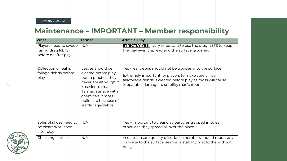#### **Maintenance – IMPORTANT – Member responsibility**

| What                                                               | <b>Tarmac</b>                                                                                                                                                                                             | <b>Artificial Clay</b>                                                                                                                                                                                                           |
|--------------------------------------------------------------------|-----------------------------------------------------------------------------------------------------------------------------------------------------------------------------------------------------------|----------------------------------------------------------------------------------------------------------------------------------------------------------------------------------------------------------------------------------|
| Players need to sweep<br>(using drag NETS)<br>before or after play | N/A                                                                                                                                                                                                       | <b>STRICTLY YES</b> - very important to use the drag NETS to keep<br>the clay evenly spread and the surface groomed                                                                                                              |
| Collection of leaf &<br>foliage debris before<br>play              | Leaves should be<br>cleared before play<br>but in practice they<br>never are although it<br>is easier to treat<br>Tarmac surface with<br>chemicals if moss<br>builds up because of<br>leaf/foliage/debris | Yes - leaf debris should not be trodden into the surface<br>Extremely important for players to make sure all leaf<br>fall/foliage debris is cleared before play as moss will cause<br>irreparable damage to stability mat/carpet |
| Soles of shoes need to<br>be cleared/brushed<br>after play         | N/A                                                                                                                                                                                                       | Yes – important to clear clay particles trapped in soles<br>otherwise they spread all over the place                                                                                                                             |
| Checking surface                                                   | N/A                                                                                                                                                                                                       | Yes – to ensure quality of surface, members should report any<br>damage to the surface, seams or stability mat to the without<br>delay                                                                                           |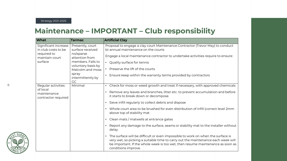#### **Maintenance – IMPORTANT – Club responsibility**

| What                                                                                    | <b>Tarmac</b>                                                                                                                                                                 | <b>Artificial Clay</b>                                                                                                                                                                                                                                                                                                                                                                                                                                                                                                                                                                                                                                                                                                                                                                                                                                             |
|-----------------------------------------------------------------------------------------|-------------------------------------------------------------------------------------------------------------------------------------------------------------------------------|--------------------------------------------------------------------------------------------------------------------------------------------------------------------------------------------------------------------------------------------------------------------------------------------------------------------------------------------------------------------------------------------------------------------------------------------------------------------------------------------------------------------------------------------------------------------------------------------------------------------------------------------------------------------------------------------------------------------------------------------------------------------------------------------------------------------------------------------------------------------|
| Significant increase<br>in club costs to be<br>required to<br>maintain court<br>surface | Presently, court<br>surface received<br>no/sparse<br>attention from<br>members. Falls to<br>voluntary basis by<br>Malcolm and moss<br>spray<br>intermittently by<br><b>GC</b> | Proposal to engage a clay court Maintenance Contractor (Trevor May) to conduct<br>bi-annual maintenance on the courts<br>Engage a local maintenance contractor to undertake activities require to ensure:<br>Quality surface for tennis<br>$\bullet$<br>Preserve the lift of the courts<br>$\bullet$<br>Ensure keep within the warranty terms provided by contractors<br>$\bullet$                                                                                                                                                                                                                                                                                                                                                                                                                                                                                 |
| Regular activities<br>of local<br>maintenance<br>contractor required                    | Minimal                                                                                                                                                                       | Check for moss or weed growth and treat if necessary, with approved chemicals<br>$\bullet$<br>Remove any leaves and branches, litter etc. to prevent accumulation and before<br>it starts to break down or decompose.<br>Sieve infill regularly to collect debris and dispose<br>$\bullet$<br>• Whole court area to be brushed for even distribution of infill (correct level 2mm<br>above top of stability mat<br>Clean mats / matwells at entrance gates<br>$\bullet$<br>Report any damage to the surface, seams or stability mat to the installer without<br>delay<br>The surface will be difficult or even impossible to work on when the surface is<br>$\bullet$<br>very wet, so picking a suitable time to carry out the maintenance each week will<br>be important. If the whole week is too wet, then resume maintenance as soon as<br>conditions improve. |

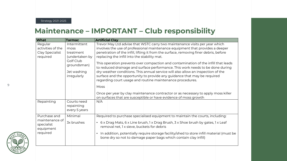#### **Maintenance – IMPORTANT – Club responsibility**

| <b>What</b>                                           | <b>Tarmac</b>                                                            | <b>Artificial Clay</b>                                                                                                                                                                                                                                                                                                                                                                                                                                                                                                                                                                                             |  |  |
|-------------------------------------------------------|--------------------------------------------------------------------------|--------------------------------------------------------------------------------------------------------------------------------------------------------------------------------------------------------------------------------------------------------------------------------------------------------------------------------------------------------------------------------------------------------------------------------------------------------------------------------------------------------------------------------------------------------------------------------------------------------------------|--|--|
| Regular                                               | Intermittent                                                             | Trevor May Ltd advise that WSTC carry two maintenance visits per year which                                                                                                                                                                                                                                                                                                                                                                                                                                                                                                                                        |  |  |
| activities of the                                     | moss                                                                     | involves the use of professional maintenance equipment that provides a deeper                                                                                                                                                                                                                                                                                                                                                                                                                                                                                                                                      |  |  |
| Clay Specialist                                       | treatment                                                                | penetration of the infill, lifting it from the surface, removing finer debris, before                                                                                                                                                                                                                                                                                                                                                                                                                                                                                                                              |  |  |
| required                                              | (undertaken by<br>Golf Club<br>groundsman)<br>Jet washing<br>irregularly | replacing the infill into the stability mat.<br>This operation prevents over compaction and contamination of the infill that leads<br>to reduced drainage and surface performance. This work needs to be done during<br>dry weather conditions. This annual service will also allow an inspection of the<br>surface and the opportunity to provide any guidance that may be required<br>regarding court usage and routine maintenance procedures.<br>Moss<br>Once per year by clay maintenance contractor or as necessary to apply moss killer<br>on surfaces that are susceptible or have evidence of moss growth |  |  |
| Repainting                                            | Courts need                                                              | N/A                                                                                                                                                                                                                                                                                                                                                                                                                                                                                                                                                                                                                |  |  |
|                                                       | repainting<br>every 5 years                                              |                                                                                                                                                                                                                                                                                                                                                                                                                                                                                                                                                                                                                    |  |  |
| Purchase and                                          | Minimal                                                                  | Required to purchase specialised equipment to maintain the courts, including:                                                                                                                                                                                                                                                                                                                                                                                                                                                                                                                                      |  |  |
| maintenance of<br>specialist<br>equipment<br>required | 3x brushes                                                               | • 6 x Drag Mats, 6 x Line brush, 1 x Drag Brush, 3 x Shoe brush by gates, 1 x Leaf<br>removal net, 1 x sieve, buckets for debris<br>In addition, potentially require storage facility/shed to store infill material (must be<br>$\bullet$<br>bone dry so not to damage paper bags which contain clay infill)                                                                                                                                                                                                                                                                                                       |  |  |
|                                                       |                                                                          |                                                                                                                                                                                                                                                                                                                                                                                                                                                                                                                                                                                                                    |  |  |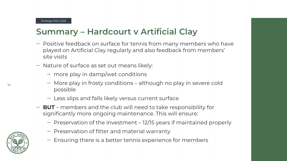### **Summary – Hardcourt v Artificial Clay**

- ‒ Positive feedback on surface for tennis from many members who have played on Artificial Clay regularly and also feedback from members' site visits
- ‒ Nature of surface as set out means likely:
	- more play in damp/wet conditions
	- ‒ More play in frosty conditions although no play in severe cold possible
	- Less slips and falls likely versus current surface
- ‒ **BUT**  members and the club will need to take responsibility for significantly more ongoing maintenance. This will ensure:
	- Preservation of the investment 12/15 years if maintained properly
	- ‒ Preservation of fitter and material warranty
	- ‒ Ensuring there is a better tennis experience for members

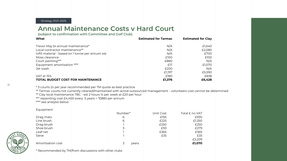Strategy 2021-2025

#### **Annual Maintenance Costs v Hard Court**

**(subject to confirmation with Committee and Golf Club)**

| What                                             | <b>Estimated for Tarmac</b> | <b>Estimated for Clay</b> |
|--------------------------------------------------|-----------------------------|---------------------------|
|                                                  |                             |                           |
| Trevor May bi-annual maintenance*                | N/A                         | £1,640                    |
| Local contractor maintenance**                   | N/A                         | £2,080                    |
| Infill material - based on I tonne per annum est | N/A                         | £700                      |
| Moss clearance                                   | £100                        | £100                      |
| Court painting***                                | £880                        | N/A                       |
| Equipment amortisation ****                      | £17                         | £1,070                    |
| Jet wash                                         | £200                        | N/A                       |
|                                                  | £1.197                      | £5,590                    |
| VAT at 15%                                       | £180                        | £838                      |
| <b>TOTAL BUDGET COST FOR MAINTENANCE</b>         | £1,376                      | £6,428                    |

\* 3 courts 2x per year recommended per TM quote as best practice

\*\* Tarmac courts not currently cleaned/maintained with active outsourced management - volunteers cost cannot be determined

\*\* Clay local maintenance TBC - est 2 hours 1x per week at £20 per hour

\*\*\* repainting cost £4,400 every 5 years = \*£880 per annum

\*\*\*\* see analysis below

Equipment

|                   | Number*    | Unit Cost | Total £ no VAT |
|-------------------|------------|-----------|----------------|
| Drag mats         | 6          | £155      | £930           |
| Line brush        | 6          | £225      | £1,350         |
| Drag brush        |            | £250      | £250           |
| Shoe brush        | 3          | £93       | £279           |
| Leaf net          |            | £365      | £365           |
| Sieve             |            | £35       | £35            |
|                   |            |           | £3,209         |
| Amortisation cost | 3<br>years |           | £1,070         |
|                   |            |           |                |



11

\* Recommended by TM/from discussions with other clubs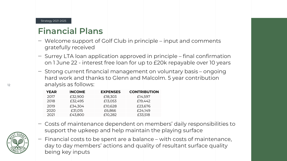#### Strategy 2021-2025

#### **Financial Plans**

- ‒ Welcome support of Golf Club in principle input and comments gratefully received
- $-$  Surrey LTA loan application approved in principle  $+$  final confirmation on 1 June 22 - interest free loan for up to £20k repayable over 10 years
- ‒ Strong current financial management on voluntary basis ongoing hard work and thanks to Glenn and Malcolm. 5 year contribution analysis as follows:

| <b>YEAR</b> | <b>INCOME</b> | <b>EXPENSES</b> | <b>CONTRIBUTION</b> |
|-------------|---------------|-----------------|---------------------|
| 2017        | £32,900       | £18,303         | £14,597             |
| 2018        | £32,495       | £13,053         | £19,442             |
| 2019        | £34,304       | £10,628         | £23,676             |
| 2020        | £31,015       | £6,866          | £24,149             |
| 2021        | £43,800       | £10,282         | £33,518             |

‒ Costs of maintenance dependent on members' daily responsibilities to support the upkeep and help maintain the playing surface



‒ Financial costs to be spent are a balance – with costs of maintenance, day to day members' actions and quality of resultant surface quality being key inputs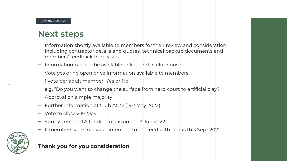#### **Next steps**

- ‒ Information shortly available to members for their review and consideration. Including contractor details and quotes, technical backup documents and members' feedback from visits
- ‒ Information pack to be available online and in clubhouse
- $\sim$  Vote yes or no open once information available to members
- ‒ 1 vote per adult member: Yes or No
- $-$  e.g. "Do you want to change the surface from hard court to artificial clay?"
- ‒ Approval on simple majority
- $-$  Further information at Club AGM (19<sup>th</sup> May 2022)
- $-$  Vote to close 23rd May
- Surrey Tennis LTA funding decision on 1<sup>st</sup> Jun 2022
- ‒ If members vote in favour, intention to proceed with works this Sept 2022



#### **Thank you for you consideration**